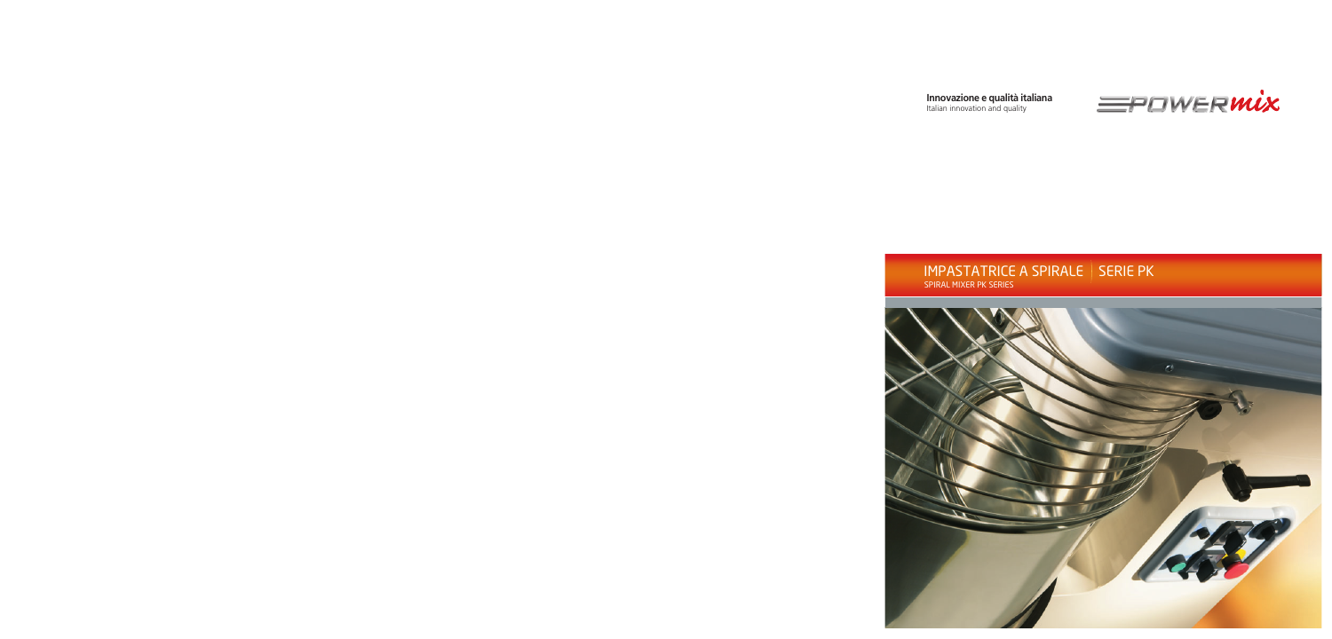## **Innovazione e qualità italiana**<br>Italian innovation and quality



## IMPASTATRICE A SPIRALE | SERIE PK SPIRAL MIXER PK SERIES

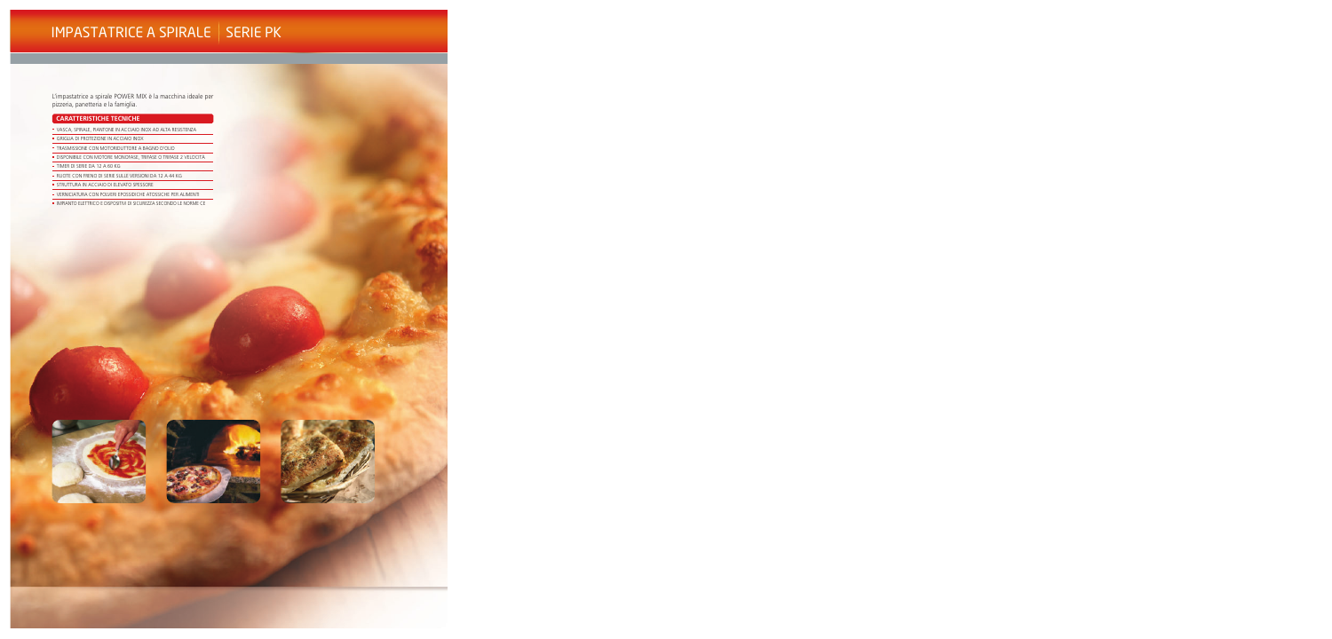## IMPASTATRICE A SPIRALE | SERIE PK

L'impastatrice a spirale POWER MIX è la macchina ideale per pizzeria, panetteria e la famiglia.

#### **CARATTERISTICHE TECNICHE**

- \* VASCA, SPIRALE, PIANTONE IN ACCIAIO INOX AD ALTA RESISTENZA
- · GRIGLIA DI PROTEZIONE IN ACCIAIO INOX
- · TRASMISSIONE CON MOTORIDUTTORE A BAGNO D'OLIO
- · DISPONIBILE CON MOTORE MONOFASE, TRIFASE O TRIFASE 2 VELOCITÀ
- TIMER DI SERIE DA 12 A 60 KG
- RUOTE CON FRENO DI SERIE SULLE VERSIONI DA 12 A 44 KG
- · STRUTTURA IN ACCIAIO DI ELEVATO SPESSORE
- · VERNICIATURA CON POLVERI EPOSSIDICHE ATOSSICHE PER ALIMENTI
- · IMPIANTO ELETTRICO E DISPOSITIVI DI SICUREZZA SECONDO LE NORME CE





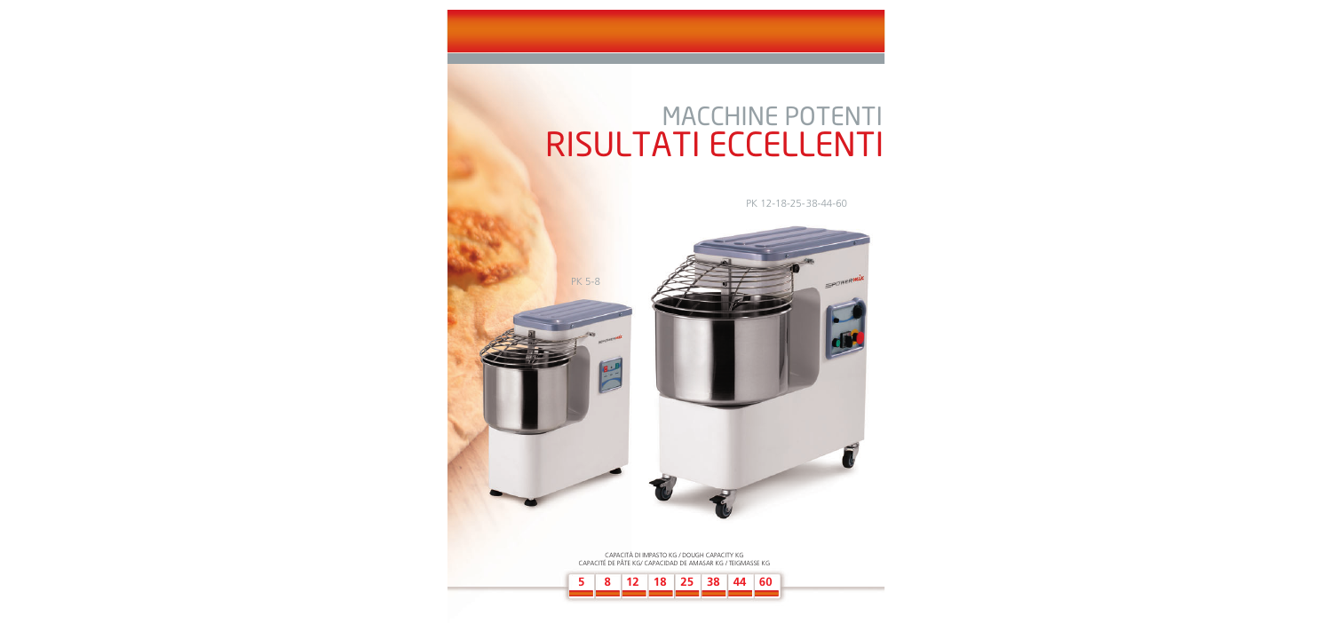# **MACCHINE POTENTI** RISULTATI ECCELLENTI

PK 12-18-25-38-44-60



CAPACITÀ DI IMPASTO KG / DOUGH CAPACITY KG CAPACITÉ DE PÂTE KG/ CAPACIDAD DE AMASAR KG / TEIGMASSE KG

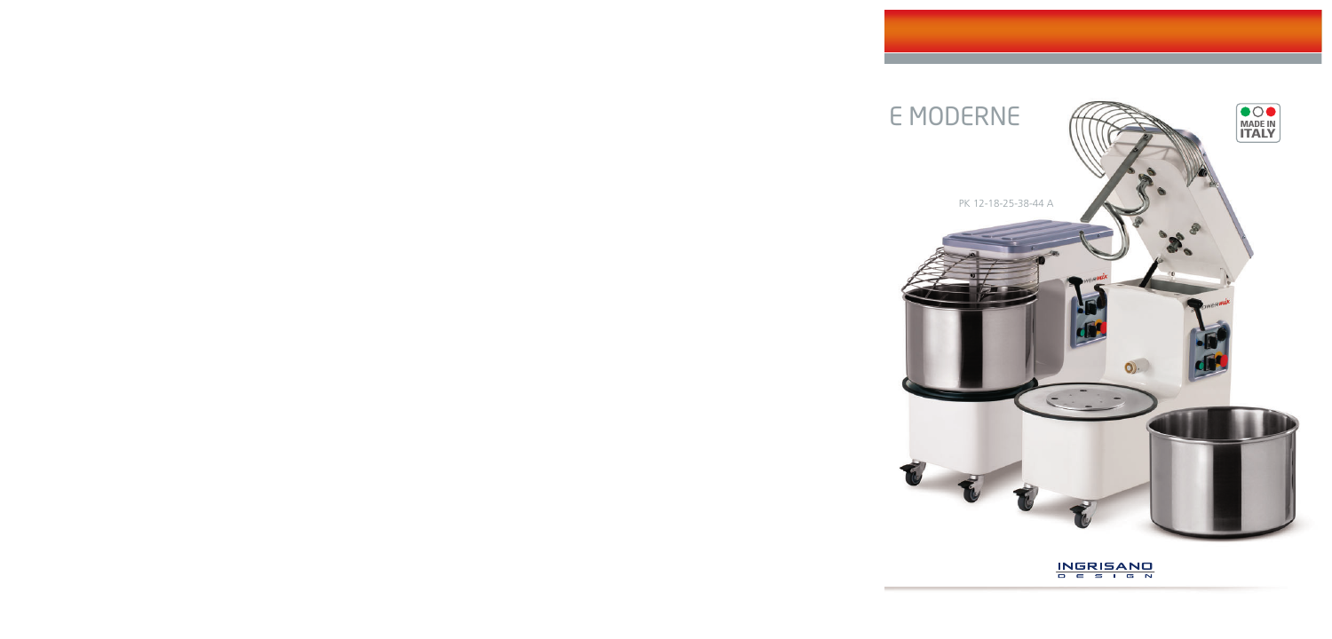

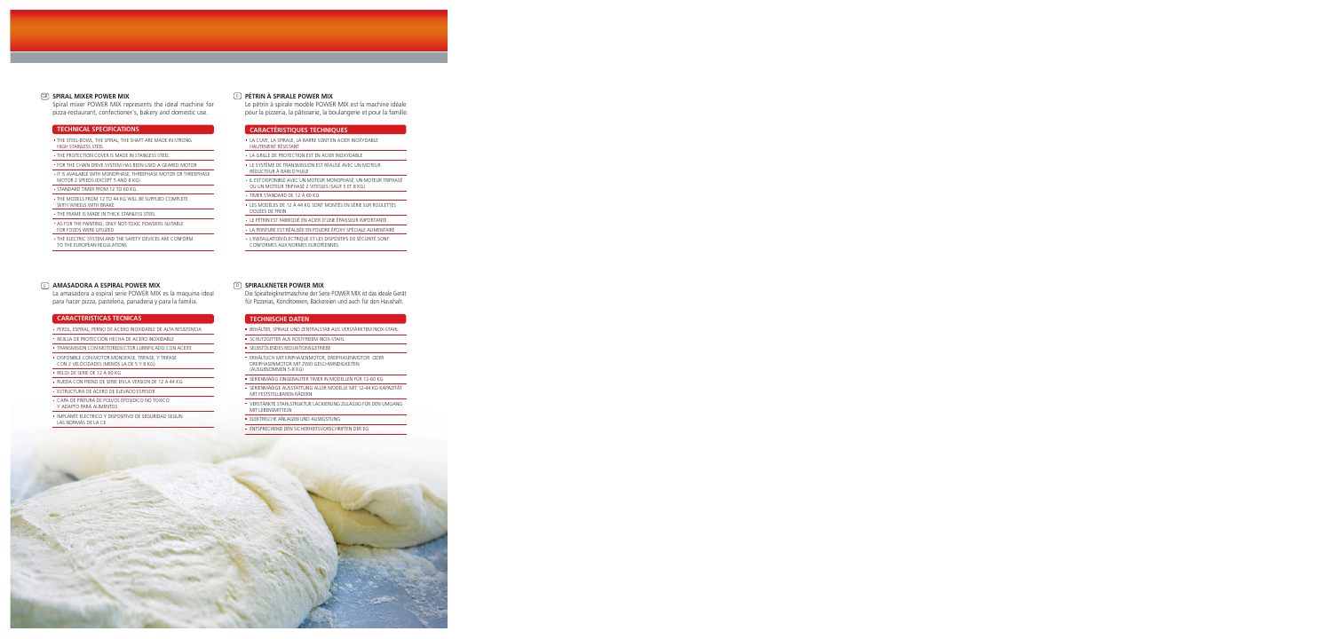#### **GB** SPIRAL MIXER POWER MIX

Spiral mixer POWER MIX represents the ideal machine for pizza-restaurant, confectioner's, bakery and domestic use.

#### **TECHNICAL SPECIFICATIONS**

- · THE STEEL-BOWL, THE SPIRAL, THE SHAFT ARE MADE IN STRONG HIGH STAINLESS STEEL
- THE PROTECTION COVER IS MADE IN STAINLESS STEEL
- . FOR THE CHAIN DRIVE SYSTEM HAS BEEN USED A GEARED MOTOR
- IT IS AVAILABLE WITH MONOPHASE THREEPHASE MOTOR OR THREEPHASE MOTOR 2 SPEEDS (EXCEPT 5 AND 8 KG)
- · STANDARD TIMER FROM 12 TO 60 KG
- · THE MODELS FROM 12 TO 44 KG WILL BE SUPPLIED COMPLETE
- WITH WHEELS WITH BRAKE
- . THE FRAME IS MADE IN THICK STAINLESS STEEL AS FOR THE PAINTING, ONLY NOT-TOXIC POWDERS SUITABLE
- FOR FOODS WERE UTILIZED
- . THE ELECTRIC SYSTEM AND THE SAFETY DEVICES ARE CONFORM TO THE EUROPEAN REGULATIONS

#### **E AMASADORA A ESPIRAL POWER MIX**

La amasadora a espiral serie POWER MIX es la maquina ideal para hacer pizza, pasteleria, panaderia y para la familia.

#### **CARACTERISTICAS TECNICAS**

- · PEROL, ESPIRAL, PERNO DE ACERO INOXIDABLE DE ALTA RESISTENCIA
- REJILLA DE PROTECCION HECHA DE ACERO INOXIDABLE
- TRANSMISION CON MOTOREDUCTOR LUBRIFICADO CON ACEITE
- · DISPONIBLE CON MOTOR MONOFASE, TRIFASE, Y TRIFASE CON 2 VELOCIDADES (MENOS LA DE 5 Y 8 KG)
- · RELOJ DE SERIE DE 12 A 60 KG
- · RUEDA CON FRENO DE SERIE EN LA VERSION DE 12 A 44 KG
- · ESTRUCTURA DE ACERO DE ELEVADO ESPESOR
- CAPA DE PINTURA DE POLVOS EPOSIDICO NO TOXICO Y ADAPTO PARA ALIMENTOS
- · IMPLANTE ELECTRICO Y DISPOSITIVO DE SEGURIDAD SEGUN LAS NORMAS DE LA CE

#### **F** PÉTRIN À SPIRALE POWER MIX

Le pétrin à spirale modèle POWER MIX est la machine idéale pour la pizzeria, la pâtisserie, la boulangerie et pour la famille.

#### **CARACTÉRISTIQUES TECHNIQUES**

- · LA CUVE, LA SPIRALE, LA BARRE SONT EN ACIER INOXYDABLE HAUTEMENT RÉSISTANT
- LA GRILLE DE PROTECTION EST EN ACIER INOXYDABLE
- · LE SYSTÈME DE TRANSMISSION EST RÉALISÉ AVEC UN MOTEUR RÉDUCTEUR À BAIN D'HUILE
- · IL EST DISPONIBLE AVEC UN MOTEUR MONOPHASÉ, UN MOTEUR TRIPHASÉ OU UN MOTEUR TRIPHASÉ 2 VITESSES (SAUF 5 ET 8 KG)

■ TIMER STANDARD DE 12 À 60 KG

- · LES MODÈLES DE 12 À 44 KG SONT MONTÉS EN SÉRIE SUR ROULETTES DOUÉES DE FREIN
- · LE PÉTRIN EST FABRIQUÉ EN ACIER D'UNE ÉPAISSEUR IMPORTANTE
- · LA PEINTURE EST RÉALISÉE EN POUDRE ÉPOXY SPÉCIALE ALIMENTAIRE
- · L'INSTALLATION ÉLECTRIQUE ET LES DISPOSITIFS DE SÉCURITÉ SONT CONFORMES AUX NORMES EUROPÉENNES

#### **D** SPIRALKNETER POWER MIX

Die Spiralteigknetmaschine der Serie POWER MIX ist das ideale Gerät für Pizzerias, Konditoreien, Bäckereien und auch für den Haushalt.

#### **TECHNISCHE DATEN**

- BEHÄLTER, SPIRALE UND ZENTRALSTAB AUS VERSTÄRKTEM INOX-STAHL
- · SCHUTZGITTER AUS ROSTFREIEM INOX-STAHL
- SELBSTÖLENDES REDUKTIONSGETRIEBE
- ERHÄLTLICH MIT EINPHASENMOTOR, DREIPHASENMOTOR ODER DREIPHASENMOTOR MIT ZWEI GESCHWINDIGKEITEN (AUSGENOMMEN 5-8 KG)
- · SERIENMÄßIG EINGEBAUTER TIMER IN MODELLEN FÜR 12-60 KG
- SERIENMÄßIGE AUSSTATTUNG ALLER MODELLE MIT 12-44 KG KAPAZITÄT MIT FESTSTELLBAREN RÄDERN
- VERSTÄRKTE STAHLSTRUKTUR LACKIERUNG ZULÄSSIG FÜR DEN UMGANG MIT I FRENSMITTELN
- FLEKTRISCHE ANLAGEN LIND ALISRÜSTLING
- · ENTSPRECHEND DEN SICHERHEITSVORSCHRIFTEN DER EG